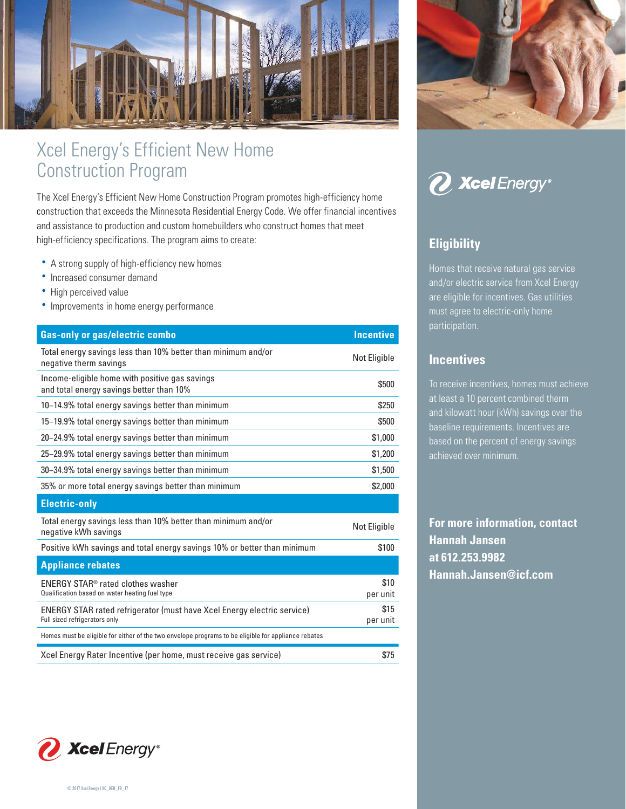

# Xcel Energy's Efficient New Home Construction Program

The Xcel Energy's Efficient New Home Construction Program promotes high-efficiency home construction that exceeds the Minnesota Residential Energy Code. We offer financial incentives and assistance to production and custom homebuilders who construct homes that meet high-efficiency specifications. The program aims to create:

- A strong supply of high-efficiency new homes
- Increased consumer demand
- High perceived value
- Improvements in home energy performance

| <b>Gas-only or gas/electric combo</b><br><b>Incentive</b><br>Total energy savings less than 10% better than minimum and/or<br>Not Eligible<br>negative therm savings<br>Income-eligible home with positive gas savings<br>\$500<br>and total energy savings better than 10%<br>10-14.9% total energy savings better than minimum<br>\$250<br>15-19.9% total energy savings better than minimum<br>\$500<br>20-24.9% total energy savings better than minimum<br>\$1,000<br>25-29.9% total energy savings better than minimum<br>\$1,200<br>30-34.9% total energy savings better than minimum<br>\$1,500<br>\$2,000<br>35% or more total energy savings better than minimum<br>Total energy savings less than 10% better than minimum and/or<br>Not Eligible<br>negative kWh savings<br>Positive kWh savings and total energy savings 10% or better than minimum<br>\$100<br><b>Appliance rebates</b> |
|------------------------------------------------------------------------------------------------------------------------------------------------------------------------------------------------------------------------------------------------------------------------------------------------------------------------------------------------------------------------------------------------------------------------------------------------------------------------------------------------------------------------------------------------------------------------------------------------------------------------------------------------------------------------------------------------------------------------------------------------------------------------------------------------------------------------------------------------------------------------------------------------------|
|                                                                                                                                                                                                                                                                                                                                                                                                                                                                                                                                                                                                                                                                                                                                                                                                                                                                                                      |
|                                                                                                                                                                                                                                                                                                                                                                                                                                                                                                                                                                                                                                                                                                                                                                                                                                                                                                      |
|                                                                                                                                                                                                                                                                                                                                                                                                                                                                                                                                                                                                                                                                                                                                                                                                                                                                                                      |
|                                                                                                                                                                                                                                                                                                                                                                                                                                                                                                                                                                                                                                                                                                                                                                                                                                                                                                      |
|                                                                                                                                                                                                                                                                                                                                                                                                                                                                                                                                                                                                                                                                                                                                                                                                                                                                                                      |
|                                                                                                                                                                                                                                                                                                                                                                                                                                                                                                                                                                                                                                                                                                                                                                                                                                                                                                      |
|                                                                                                                                                                                                                                                                                                                                                                                                                                                                                                                                                                                                                                                                                                                                                                                                                                                                                                      |
|                                                                                                                                                                                                                                                                                                                                                                                                                                                                                                                                                                                                                                                                                                                                                                                                                                                                                                      |
|                                                                                                                                                                                                                                                                                                                                                                                                                                                                                                                                                                                                                                                                                                                                                                                                                                                                                                      |
|                                                                                                                                                                                                                                                                                                                                                                                                                                                                                                                                                                                                                                                                                                                                                                                                                                                                                                      |
|                                                                                                                                                                                                                                                                                                                                                                                                                                                                                                                                                                                                                                                                                                                                                                                                                                                                                                      |
|                                                                                                                                                                                                                                                                                                                                                                                                                                                                                                                                                                                                                                                                                                                                                                                                                                                                                                      |
|                                                                                                                                                                                                                                                                                                                                                                                                                                                                                                                                                                                                                                                                                                                                                                                                                                                                                                      |
| \$10<br>ENERGY STAR <sup>®</sup> rated clothes washer<br>Qualification based on water heating fuel type<br>per unit                                                                                                                                                                                                                                                                                                                                                                                                                                                                                                                                                                                                                                                                                                                                                                                  |
| \$15<br><b>ENERGY STAR rated refrigerator (must have Xcel Energy electric service)</b><br>Full sized refrigerators only<br>per unit                                                                                                                                                                                                                                                                                                                                                                                                                                                                                                                                                                                                                                                                                                                                                                  |
| Homes must be eligible for either of the two envelope programs to be eligible for appliance rebates                                                                                                                                                                                                                                                                                                                                                                                                                                                                                                                                                                                                                                                                                                                                                                                                  |
| Xcel Energy Rater Incentive (per home, must receive gas service)<br>\$75                                                                                                                                                                                                                                                                                                                                                                                                                                                                                                                                                                                                                                                                                                                                                                                                                             |
|                                                                                                                                                                                                                                                                                                                                                                                                                                                                                                                                                                                                                                                                                                                                                                                                                                                                                                      |



*<i>O* Xcel Energy®

## **Eligibility**

Homes that receive natural gas service and/or electric service from Xcel Energy are eligible for incentives. Gas utilities must agree to electric-only home participation.

#### **Incentives**

To receive incentives, homes must achieve at least a 10 percent combined therm and kilowatt hour (kWh) savings over the baseline requirements. Incentives are based on the percent of energy savings achieved over minimum.

**For more information, contact Hannah Jansen at 612.253.9982 Hannah.Jansen@icf.com**